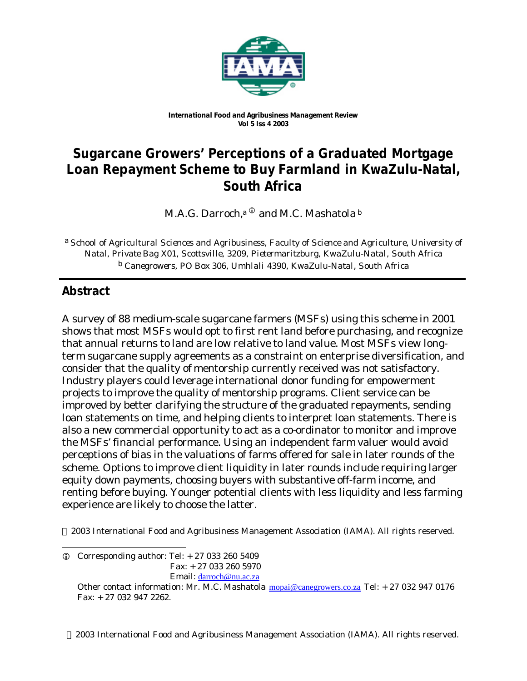

*International Food and Agribusiness Management Review Vol 5 Iss 4 2003*

# **Sugarcane Growers' Perceptions of a Graduated Mortgage Loan Repayment Scheme to Buy Farmland in KwaZulu-Natal, South Africa**

M.A.G. Darroch,<sup>a  $^{\text{\textregistered}}$  and M.C. Mashatola  $^{\text{\text{b}}}$ </sup>

a *School of Agricultural Sciences and Agribusiness, Faculty of Science and Agriculture, University of Natal, Private Bag X01, Scottsville, 3209, Pietermaritzburg, KwaZulu-Natal, South Africa* b *Canegrowers, PO Box 306, Umhlali 4390, KwaZulu-Natal, South Africa*

# **Abstract**

A survey of 88 medium-scale sugarcane farmers (MSFs) using this scheme in 2001 shows that most MSFs would opt to first rent land before purchasing, and recognize that annual returns to land are low relative to land value. Most MSFs view longterm sugarcane supply agreements as a constraint on enterprise diversification, and consider that the quality of mentorship currently received was not satisfactory. Industry players could leverage international donor funding for empowerment projects to improve the quality of mentorship programs. Client service can be improved by better clarifying the structure of the graduated repayments, sending loan statements on time, and helping clients to interpret loan statements. There is also a new commercial opportunity to act as a co-ordinator to monitor and improve the MSFs' financial performance. Using an independent farm valuer would avoid perceptions of bias in the valuations of farms offered for sale in later rounds of the scheme. Options to improve client liquidity in later rounds include requiring larger equity down payments, choosing buyers with substantive off-farm income, and renting before buying. Younger potential clients with less liquidity and less farming experience are likely to choose the latter.

2003 International Food and Agribusiness Management Association (IAMA). All rights reserved.

2003 International Food and Agribusiness Management Association (IAMA). All rights reserved.

l  $Q$  Corresponding author: Tel:  $+270332605409$  Fax: + 27 033 260 5970 Email: darroch@nu.ac.za

Other contact information: Mr. M.C. Mashatola mopai@canegrowers.co.za Tel: + 27 032 947 0176 Fax: + 27 032 947 2262.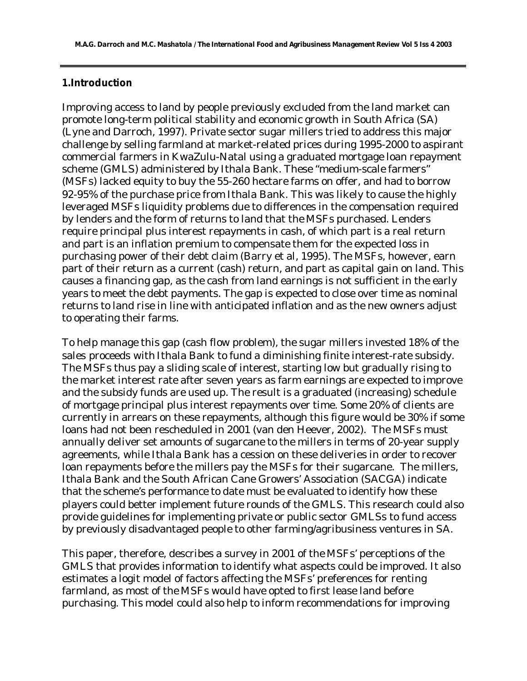#### **1.Introduction**

Improving access to land by people previously excluded from the land market can promote long-term political stability and economic growth in South Africa (SA) (Lyne and Darroch, 1997). Private sector sugar millers tried to address this major challenge by selling farmland at market-related prices during 1995-2000 to aspirant commercial farmers in KwaZulu-Natal using a graduated mortgage loan repayment scheme (GMLS) administered by Ithala Bank. These "medium-scale farmers" (MSFs) lacked equity to buy the 55-260 hectare farms on offer, and had to borrow 92-95% of the purchase price from Ithala Bank. This was likely to cause the highly leveraged MSFs liquidity problems due to differences in the compensation required by lenders and the form of returns to land that the MSFs purchased. Lenders require principal plus interest repayments in cash, of which part is a real return and part is an inflation premium to compensate them for the expected loss in purchasing power of their debt claim (Barry et al, 1995). The MSFs, however, earn part of their return as a current (cash) return, and part as capital gain on land. This causes a financing gap, as the cash from land earnings is not sufficient in the early years to meet the debt payments. The gap is expected to close over time as nominal returns to land rise in line with anticipated inflation and as the new owners adjust to operating their farms.

To help manage this gap (cash flow problem), the sugar millers invested 18% of the sales proceeds with Ithala Bank to fund a diminishing finite interest-rate subsidy. The MSFs thus pay a sliding scale of interest, starting low but gradually rising to the market interest rate after seven years as farm earnings are expected to improve and the subsidy funds are used up. The result is a graduated (increasing) schedule of mortgage principal plus interest repayments over time. Some 20% of clients are currently in arrears on these repayments, although this figure would be 30% if some loans had not been rescheduled in 2001 (van den Heever, 2002). The MSFs must annually deliver set amounts of sugarcane to the millers in terms of 20-year supply agreements, while Ithala Bank has a cession on these deliveries in order to recover loan repayments before the millers pay the MSFs for their sugarcane. The millers, Ithala Bank and the South African Cane Growers' Association (SACGA) indicate that the scheme's performance to date must be evaluated to identify how these players could better implement future rounds of the GMLS. This research could also provide guidelines for implementing private or public sector GMLSs to fund access by previously disadvantaged people to other farming/agribusiness ventures in SA.

This paper, therefore, describes a survey in 2001 of the MSFs' perceptions of the GMLS that provides information to identify what aspects could be improved. It also estimates a logit model of factors affecting the MSFs' preferences for renting farmland, as most of the MSFs would have opted to first lease land before purchasing. This model could also help to inform recommendations for improving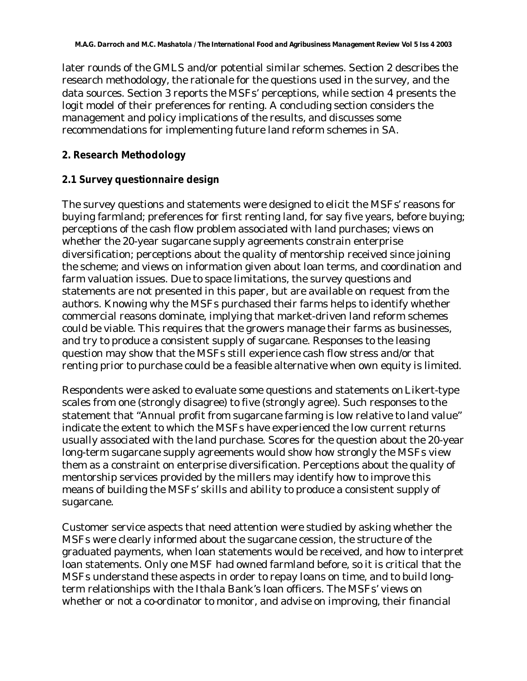later rounds of the GMLS and/or potential similar schemes. Section 2 describes the research methodology, the rationale for the questions used in the survey, and the data sources. Section 3 reports the MSFs' perceptions, while section 4 presents the logit model of their preferences for renting. A concluding section considers the management and policy implications of the results, and discusses some recommendations for implementing future land reform schemes in SA.

## **2. Research Methodology**

### **2.1 Survey questionnaire design**

The survey questions and statements were designed to elicit the MSFs' reasons for buying farmland; preferences for first renting land, for say five years, before buying; perceptions of the cash flow problem associated with land purchases; views on whether the 20-year sugarcane supply agreements constrain enterprise diversification; perceptions about the quality of mentorship received since joining the scheme; and views on information given about loan terms, and coordination and farm valuation issues. Due to space limitations, the survey questions and statements are not presented in this paper, but are available on request from the authors. Knowing why the MSFs purchased their farms helps to identify whether commercial reasons dominate, implying that market-driven land reform schemes could be viable. This requires that the growers manage their farms as businesses, and try to produce a consistent supply of sugarcane. Responses to the leasing question may show that the MSFs still experience cash flow stress and/or that renting prior to purchase could be a feasible alternative when own equity is limited.

Respondents were asked to evaluate some questions and statements on Likert-type scales from one (strongly disagree) to five (strongly agree). Such responses to the statement that "Annual profit from sugarcane farming is low relative to land value" indicate the extent to which the MSFs have experienced the low current returns usually associated with the land purchase. Scores for the question about the 20-year long-term sugarcane supply agreements would show how strongly the MSFs view them as a constraint on enterprise diversification. Perceptions about the quality of mentorship services provided by the millers may identify how to improve this means of building the MSFs' skills and ability to produce a consistent supply of sugarcane.

Customer service aspects that need attention were studied by asking whether the MSFs were clearly informed about the sugarcane cession, the structure of the graduated payments, when loan statements would be received, and how to interpret loan statements. Only one MSF had owned farmland before, so it is critical that the MSFs understand these aspects in order to repay loans on time, and to build longterm relationships with the Ithala Bank's loan officers. The MSFs' views on whether or not a co-ordinator to monitor, and advise on improving, their financial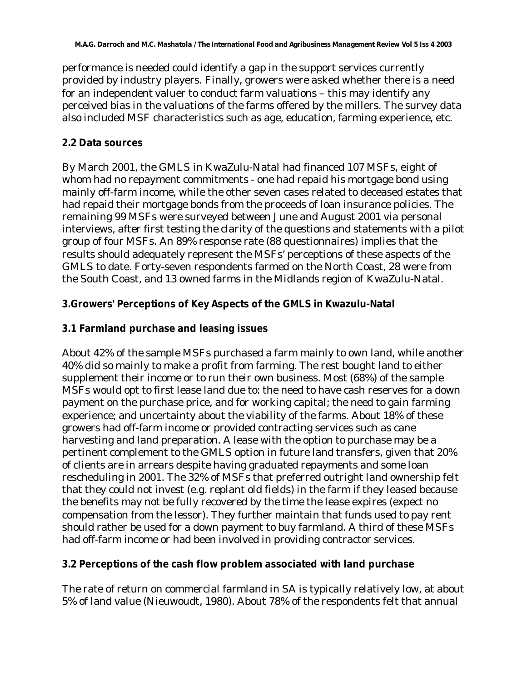performance is needed could identify a gap in the support services currently provided by industry players. Finally, growers were asked whether there is a need for an independent valuer to conduct farm valuations – this may identify any perceived bias in the valuations of the farms offered by the millers. The survey data also included MSF characteristics such as age, education, farming experience, etc.

### **2.2 Data sources**

By March 2001, the GMLS in KwaZulu-Natal had financed 107 MSFs, eight of whom had no repayment commitments - one had repaid his mortgage bond using mainly off-farm income, while the other seven cases related to deceased estates that had repaid their mortgage bonds from the proceeds of loan insurance policies. The remaining 99 MSFs were surveyed between June and August 2001 via personal interviews, after first testing the clarity of the questions and statements with a pilot group of four MSFs. An 89% response rate (88 questionnaires) implies that the results should adequately represent the MSFs' perceptions of these aspects of the GMLS to date. Forty-seven respondents farmed on the North Coast, 28 were from the South Coast, and 13 owned farms in the Midlands region of KwaZulu-Natal.

## **3.Growers' Perceptions of Key Aspects of the GMLS in Kwazulu-Natal**

## **3.1 Farmland purchase and leasing issues**

About 42% of the sample MSFs purchased a farm mainly to own land, while another 40% did so mainly to make a profit from farming. The rest bought land to either supplement their income or to run their own business. Most (68%) of the sample MSFs would opt to first lease land due to: the need to have cash reserves for a down payment on the purchase price, and for working capital; the need to gain farming experience; and uncertainty about the viability of the farms. About 18% of these growers had off-farm income or provided contracting services such as cane harvesting and land preparation. A lease with the option to purchase may be a pertinent complement to the GMLS option in future land transfers, given that 20% of clients are in arrears despite having graduated repayments and some loan rescheduling in 2001. The 32% of MSFs that preferred outright land ownership felt that they could not invest (e.g. replant old fields) in the farm if they leased because the benefits may not be fully recovered by the time the lease expires (expect no compensation from the lessor). They further maintain that funds used to pay rent should rather be used for a down payment to buy farmland. A third of these MSFs had off-farm income or had been involved in providing contractor services.

## **3.2 Perceptions of the cash flow problem associated with land purchase**

The rate of return on commercial farmland in SA is typically relatively low, at about 5% of land value (Nieuwoudt, 1980). About 78% of the respondents felt that annual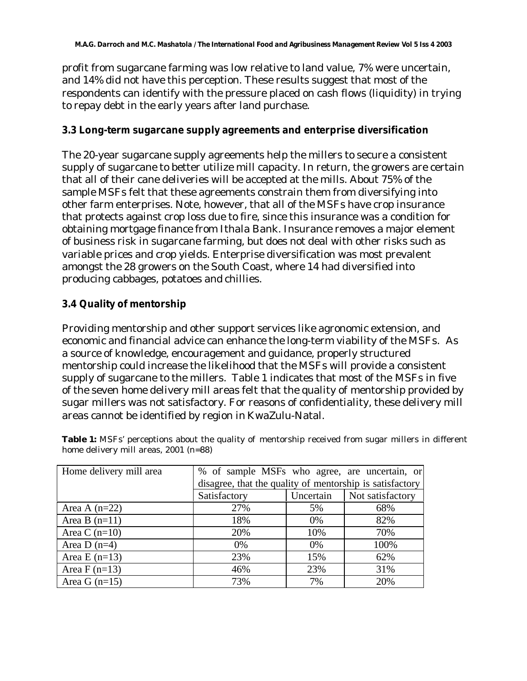profit from sugarcane farming was low relative to land value, 7% were uncertain, and 14% did not have this perception. These results suggest that most of the respondents can identify with the pressure placed on cash flows (liquidity) in trying to repay debt in the early years after land purchase.

#### **3.3 Long-term sugarcane supply agreements and enterprise diversification**

The 20-year sugarcane supply agreements help the millers to secure a consistent supply of sugarcane to better utilize mill capacity. In return, the growers are certain that all of their cane deliveries will be accepted at the mills. About 75% of the sample MSFs felt that these agreements constrain them from diversifying into other farm enterprises. Note, however, that all of the MSFs have crop insurance that protects against crop loss due to fire, since this insurance was a condition for obtaining mortgage finance from Ithala Bank. Insurance removes a major element of business risk in sugarcane farming, but does not deal with other risks such as variable prices and crop yields. Enterprise diversification was most prevalent amongst the 28 growers on the South Coast, where 14 had diversified into producing cabbages, potatoes and chillies.

## **3.4 Quality of mentorship**

Providing mentorship and other support services like agronomic extension, and economic and financial advice can enhance the long-term viability of the MSFs. As a source of knowledge, encouragement and guidance, properly structured mentorship could increase the likelihood that the MSFs will provide a consistent supply of sugarcane to the millers. Table 1 indicates that most of the MSFs in five of the seven home delivery mill areas felt that the quality of mentorship provided by sugar millers was not satisfactory. For reasons of confidentiality, these delivery mill areas cannot be identified by region in KwaZulu-Natal.

| Home delivery mill area |                                                          |           |                  |  |  |
|-------------------------|----------------------------------------------------------|-----------|------------------|--|--|
|                         | % of sample MSFs who agree, are uncertain, or            |           |                  |  |  |
|                         | disagree, that the quality of mentorship is satisfactory |           |                  |  |  |
|                         | Satisfactory                                             | Uncertain | Not satisfactory |  |  |
| Area A $(n=22)$         | 27%                                                      | 5%        | 68%              |  |  |
| Area B $(n=11)$         | 18%                                                      | $0\%$     | 82%              |  |  |
| Area C $(n=10)$         | 20%                                                      | 10%       | 70%              |  |  |
| Area D $(n=4)$          | $0\%$                                                    | 0%        | 100%             |  |  |
| Area E $(n=13)$         | 23%                                                      | 15%       | 62%              |  |  |
| Area $F(n=13)$          | 46%                                                      | 23%       | 31%              |  |  |
| Area G $(n=15)$         | 73%                                                      | 7%        | 20%              |  |  |

Table 1: MSFs' perceptions about the quality of mentorship received from sugar millers in different home delivery mill areas, 2001 (n=88)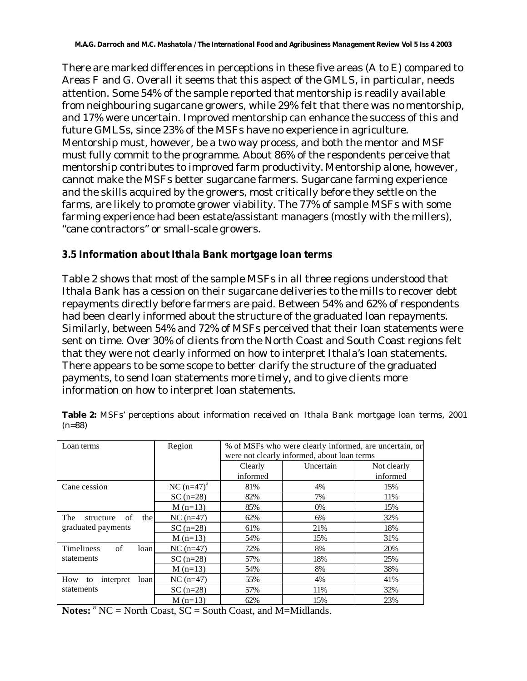There are marked differences in perceptions in these five areas (A to E) compared to Areas F and G. Overall it seems that this aspect of the GMLS, in particular, needs attention. Some 54% of the sample reported that mentorship is readily available from neighbouring sugarcane growers, while 29% felt that there was no mentorship, and 17% were uncertain. Improved mentorship can enhance the success of this and future GMLSs, since 23% of the MSFs have no experience in agriculture. Mentorship must, however, be a two way process, and both the mentor and MSF must fully commit to the programme. About 86% of the respondents perceive that mentorship contributes to improved farm productivity. Mentorship alone, however, cannot make the MSFs better sugarcane farmers. Sugarcane farming experience and the skills acquired by the growers, most critically before they settle on the farms, are likely to promote grower viability. The 77% of sample MSFs with some farming experience had been estate/assistant managers (mostly with the millers), "cane contractors" or small-scale growers.

#### **3.5 Information about Ithala Bank mortgage loan terms**

Table 2 shows that most of the sample MSFs in all three regions understood that Ithala Bank has a cession on their sugarcane deliveries to the mills to recover debt repayments directly before farmers are paid. Between 54% and 62% of respondents had been clearly informed about the structure of the graduated loan repayments. Similarly, between 54% and 72% of MSFs perceived that their loan statements were sent on time. Over 30% of clients from the North Coast and South Coast regions felt that they were not clearly informed on how to interpret Ithala's loan statements. There appears to be some scope to better clarify the structure of the graduated payments, to send loan statements more timely, and to give clients more information on how to interpret loan statements.

| Loan terms                                          | Region          | % of MSFs who were clearly informed, are uncertain, or |           |             |
|-----------------------------------------------------|-----------------|--------------------------------------------------------|-----------|-------------|
|                                                     |                 | were not clearly informed, about loan terms            |           |             |
|                                                     |                 | Clearly                                                | Uncertain | Not clearly |
|                                                     |                 | informed                                               |           | informed    |
| Cane cession                                        | NC $(n=47)^{a}$ | 81%                                                    | 4%        | 15%         |
|                                                     | $SC(n=28)$      | 82%                                                    | 7%        | 11%         |
|                                                     | $M(n=13)$       | 85%                                                    | $0\%$     | 15%         |
| of<br>the<br>The<br>structure<br>graduated payments | $NC (n=47)$     | 62%                                                    | 6%        | 32%         |
|                                                     | $SC(n=28)$      | 61%                                                    | 21%       | 18%         |
|                                                     | $M(n=13)$       | 54%                                                    | 15%       | 31%         |
| of<br><b>Timeliness</b><br>loan                     | $NC (n=47)$     | 72%                                                    | 8%        | 20%         |
| statements                                          | $SC(n=28)$      | 57%                                                    | 18%       | 25%         |
|                                                     | $M(n=13)$       | 54%                                                    | 8%        | 38%         |
| How<br>interpret<br>loan<br>to<br>statements        | $NC (n=47)$     | 55%                                                    | 4%        | 41%         |
|                                                     | $SC(n=28)$      | 57%                                                    | 11%       | 32%         |
|                                                     | $M(n=13)$       | 62%                                                    | 15%       | 23%         |

**Table 2:** MSFs' perceptions about information received on Ithala Bank mortgage loan terms, 2001 (n=88)

Notes: <sup>a</sup> NC = North Coast, SC = South Coast, and M=Midlands.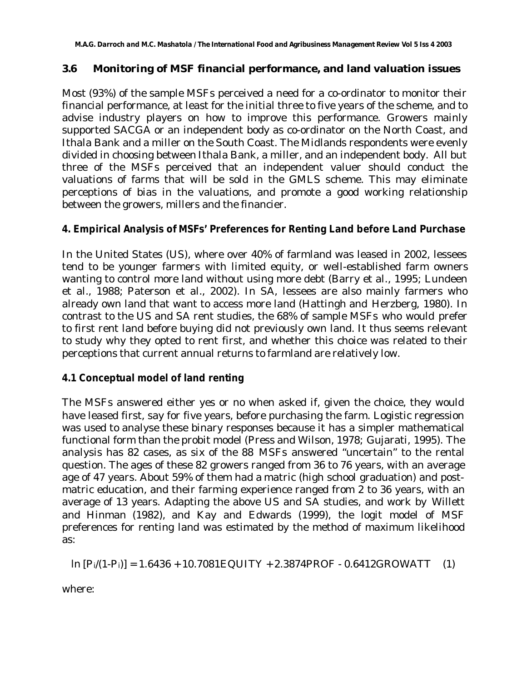## **3.6 Monitoring of MSF financial performance, and land valuation issues**

Most (93%) of the sample MSFs perceived a need for a co-ordinator to monitor their financial performance, at least for the initial three to five years of the scheme, and to advise industry players on how to improve this performance. Growers mainly supported SACGA or an independent body as co-ordinator on the North Coast, and Ithala Bank and a miller on the South Coast. The Midlands respondents were evenly divided in choosing between Ithala Bank, a miller, and an independent body. All but three of the MSFs perceived that an independent valuer should conduct the valuations of farms that will be sold in the GMLS scheme. This may eliminate perceptions of bias in the valuations, and promote a good working relationship between the growers, millers and the financier.

## **4. Empirical Analysis of MSFs' Preferences for Renting Land before Land Purchase**

In the United States (US), where over 40% of farmland was leased in 2002, lessees tend to be younger farmers with limited equity, or well-established farm owners wanting to control more land without using more debt (Barry et al*.*, 1995; Lundeen et al., 1988; Paterson et al., 2002). In SA, lessees are also mainly farmers who already own land that want to access more land (Hattingh and Herzberg, 1980). In contrast to the US and SA rent studies, the 68% of sample MSFs who would prefer to first rent land before buying did not previously own land. It thus seems relevant to study why they opted to rent first, and whether this choice was related to their perceptions that current annual returns to farmland are relatively low.

## **4.1 Conceptual model of land renting**

The MSFs answered either yes or no when asked if, given the choice, they would have leased first, say for five years, before purchasing the farm. Logistic regression was used to analyse these binary responses because it has a simpler mathematical functional form than the probit model (Press and Wilson, 1978; Gujarati, 1995). The analysis has 82 cases, as six of the 88 MSFs answered "uncertain" to the rental question. The ages of these 82 growers ranged from 36 to 76 years, with an average age of 47 years. About 59% of them had a matric (high school graduation) and postmatric education, and their farming experience ranged from 2 to 36 years, with an average of 13 years. Adapting the above US and SA studies, and work by Willett and Hinman (1982), and Kay and Edwards (1999), the logit model of MSF preferences for renting land was estimated by the method of maximum likelihood as:

 $\ln [P_i/(1-P_i)] = 1.6436 + 10.7081EQUITY + 2.3874PROF - 0.6412GROWATT$  (1)

where: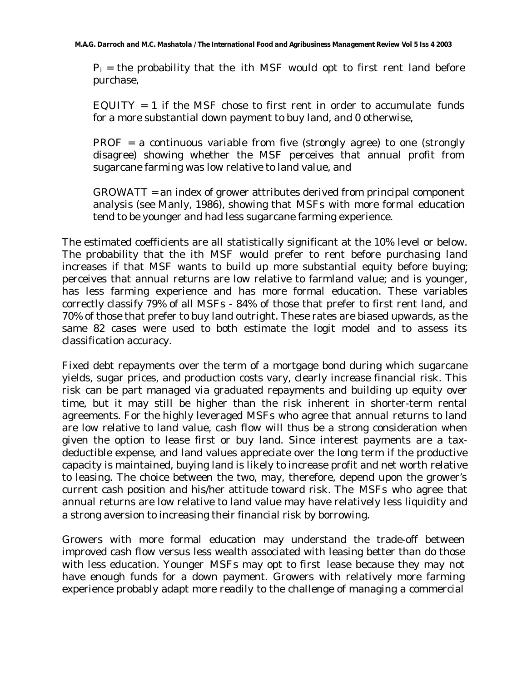$P_i$  = the probability that the ith MSF would opt to first rent land before purchase,

EQUITY = 1 if the MSF chose to first rent in order to accumulate funds for a more substantial down payment to buy land, and 0 otherwise,

 $PROF = a$  continuous variable from five (strongly agree) to one (strongly disagree) showing whether the MSF perceives that annual profit from sugarcane farming was low relative to land value, and

GROWATT = an index of grower attributes derived from principal component analysis (see Manly, 1986), showing that MSFs with more formal education tend to be younger and had less sugarcane farming experience.

The estimated coefficients are all statistically significant at the 10% level or below. The probability that the ith MSF would prefer to rent before purchasing land increases if that MSF wants to build up more substantial equity before buying; perceives that annual returns are low relative to farmland value; and is younger, has less farming experience and has more formal education. These variables correctly classify 79% of all MSFs - 84% of those that prefer to first rent land, and 70% of those that prefer to buy land outright. These rates are biased upwards, as the same 82 cases were used to both estimate the logit model and to assess its classification accuracy.

Fixed debt repayments over the term of a mortgage bond during which sugarcane yields, sugar prices, and production costs vary, clearly increase financial risk. This risk can be part managed via graduated repayments and building up equity over time, but it may still be higher than the risk inherent in shorter-term rental agreements. For the highly leveraged MSFs who agree that annual returns to land are low relative to land value, cash flow will thus be a strong consideration when given the option to lease first or buy land. Since interest payments are a taxdeductible expense, and land values appreciate over the long term if the productive capacity is maintained, buying land is likely to increase profit and net worth relative to leasing. The choice between the two, may, therefore, depend upon the grower's current cash position and his/her attitude toward risk. The MSFs who agree that annual returns are low relative to land value may have relatively less liquidity and a strong aversion to increasing their financial risk by borrowing.

Growers with more formal education may understand the trade-off between improved cash flow versus less wealth associated with leasing better than do those with less education. Younger MSFs may opt to first lease because they may not have enough funds for a down payment. Growers with relatively more farming experience probably adapt more readily to the challenge of managing a commercial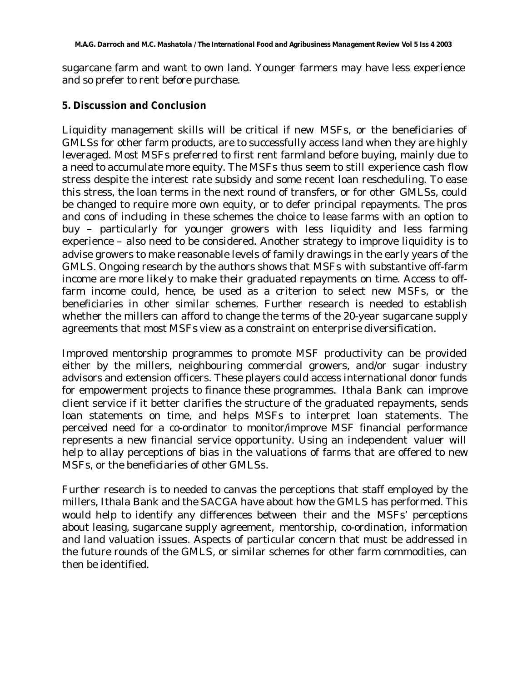sugarcane farm and want to own land. Younger farmers may have less experience and so prefer to rent before purchase.

#### **5. Discussion and Conclusion**

Liquidity management skills will be critical if new MSFs, or the beneficiaries of GMLSs for other farm products, are to successfully access land when they are highly leveraged. Most MSFs preferred to first rent farmland before buying, mainly due to a need to accumulate more equity. The MSFs thus seem to still experience cash flow stress despite the interest rate subsidy and some recent loan rescheduling. To ease this stress, the loan terms in the next round of transfers, or for other GMLSs, could be changed to require more own equity, or to defer principal repayments. The pros and cons of including in these schemes the choice to lease farms with an option to buy – particularly for younger growers with less liquidity and less farming experience – also need to be considered. Another strategy to improve liquidity is to advise growers to make reasonable levels of family drawings in the early years of the GMLS. Ongoing research by the authors shows that MSFs with substantive off-farm income are more likely to make their graduated repayments on time. Access to offfarm income could, hence, be used as a criterion to select new MSFs, or the beneficiaries in other similar schemes. Further research is needed to establish whether the millers can afford to change the terms of the 20-year sugarcane supply agreements that most MSFs view as a constraint on enterprise diversification.

Improved mentorship programmes to promote MSF productivity can be provided either by the millers, neighbouring commercial growers, and/or sugar industry advisors and extension officers. These players could access international donor funds for empowerment projects to finance these programmes. Ithala Bank can improve client service if it better clarifies the structure of the graduated repayments, sends loan statements on time, and helps MSFs to interpret loan statements. The perceived need for a co-ordinator to monitor/improve MSF financial performance represents a new financial service opportunity. Using an independent valuer will help to allay perceptions of bias in the valuations of farms that are offered to new MSFs, or the beneficiaries of other GMLSs.

Further research is to needed to canvas the perceptions that staff employed by the millers, Ithala Bank and the SACGA have about how the GMLS has performed. This would help to identify any differences between their and the MSFs' perceptions about leasing, sugarcane supply agreement, mentorship, co-ordination, information and land valuation issues. Aspects of particular concern that must be addressed in the future rounds of the GMLS, or similar schemes for other farm commodities, can then be identified.